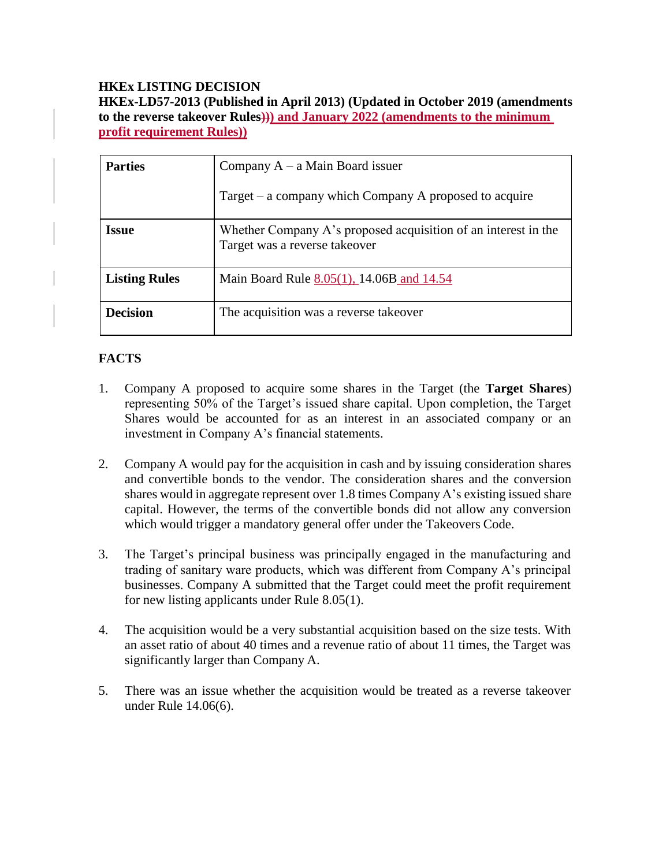#### **HKEx LISTING DECISION HKEx-LD57-2013 (Published in April 2013) (Updated in October 2019 (amendments to the reverse takeover Rules))) and January 2022 (amendments to the minimum profit requirement Rules))**

| <b>Parties</b>       | Company $A - a$ Main Board issuer                                                               |
|----------------------|-------------------------------------------------------------------------------------------------|
|                      | Target $-$ a company which Company A proposed to acquire                                        |
| Issue                | Whether Company A's proposed acquisition of an interest in the<br>Target was a reverse takeover |
| <b>Listing Rules</b> | Main Board Rule 8.05(1), 14.06B and 14.54                                                       |
| <b>Decision</b>      | The acquisition was a reverse takeover                                                          |

# **FACTS**

- 1. Company A proposed to acquire some shares in the Target (the **Target Shares**) representing 50% of the Target's issued share capital. Upon completion, the Target Shares would be accounted for as an interest in an associated company or an investment in Company A's financial statements.
- 2. Company A would pay for the acquisition in cash and by issuing consideration shares and convertible bonds to the vendor. The consideration shares and the conversion shares would in aggregate represent over 1.8 times Company A's existing issued share capital. However, the terms of the convertible bonds did not allow any conversion which would trigger a mandatory general offer under the Takeovers Code.
- 3. The Target's principal business was principally engaged in the manufacturing and trading of sanitary ware products, which was different from Company A's principal businesses. Company A submitted that the Target could meet the profit requirement for new listing applicants under Rule 8.05(1).
- 4. The acquisition would be a very substantial acquisition based on the size tests. With an asset ratio of about 40 times and a revenue ratio of about 11 times, the Target was significantly larger than Company A.
- 5. There was an issue whether the acquisition would be treated as a reverse takeover under Rule 14.06(6).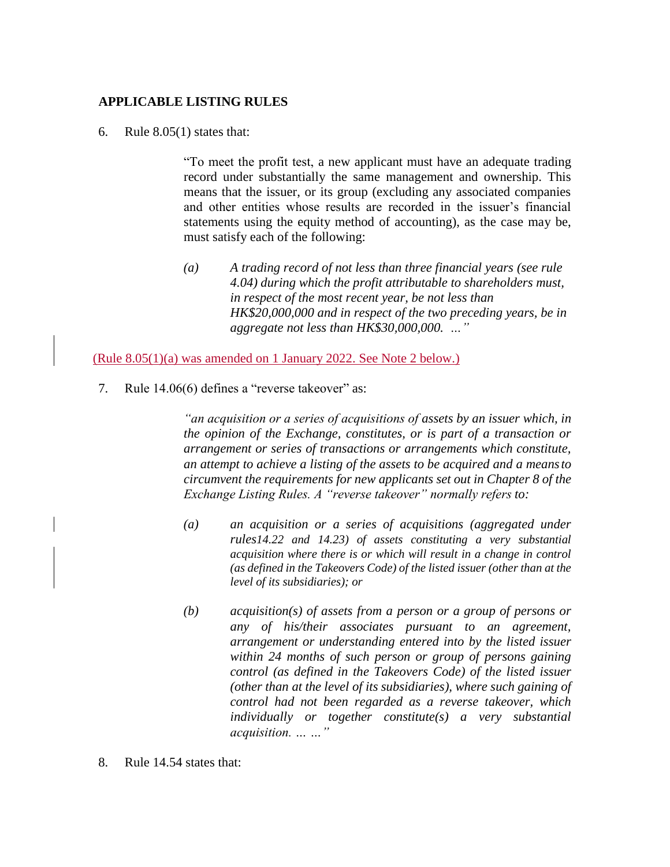#### **APPLICABLE LISTING RULES**

6. Rule  $8.05(1)$  states that:

"To meet the profit test, a new applicant must have an adequate trading record under substantially the same management and ownership. This means that the issuer, or its group (excluding any associated companies and other entities whose results are recorded in the issuer's financial statements using the equity method of accounting), as the case may be, must satisfy each of the following:

*(a) A trading record of not less than three financial years (see rule 4.04) during which the profit attributable to shareholders must, in respect of the most recent year, be not less than HK\$20,000,000 and in respect of the two preceding years, be in aggregate not less than HK\$30,000,000. …"*

(Rule 8.05(1)(a) was amended on 1 January 2022. See Note 2 below.)

7. Rule 14.06(6) defines a "reverse takeover" as:

*"an acquisition or a series of acquisitions of assets by an issuer which, in the opinion of the Exchange, constitutes, or is part of a transaction or arrangement or series of transactions or arrangements which constitute, an attempt to achieve a listing of the assets to be acquired and a meansto circumvent the requirements for new applicants set out in Chapter 8 of the Exchange Listing Rules. A "reverse takeover" normally refers to:*

- *(a) an acquisition or a series of acquisitions (aggregated under rules14.22 and 14.23) of assets constituting a very substantial acquisition where there is or which will result in a change in control (as defined in the Takeovers Code) of the listed issuer (other than at the level of its subsidiaries); or*
- *(b) acquisition(s) of assets from a person or a group of persons or any of his/their associates pursuant to an agreement, arrangement or understanding entered into by the listed issuer within 24 months of such person or group of persons gaining control (as defined in the Takeovers Code) of the listed issuer (other than at the level of its subsidiaries), where such gaining of control had not been regarded as a reverse takeover, which individually or together constitute(s) a very substantial acquisition. … …"*
- 8. Rule 14.54 states that: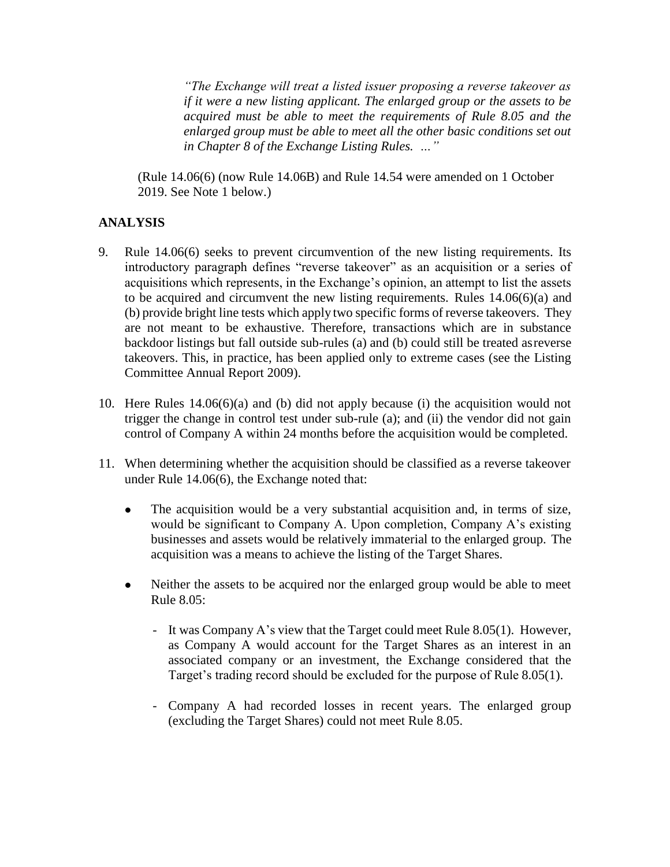*"The Exchange will treat a listed issuer proposing a reverse takeover as if it were a new listing applicant. The enlarged group or the assets to be acquired must be able to meet the requirements of Rule 8.05 and the enlarged group must be able to meet all the other basic conditions set out in Chapter 8 of the Exchange Listing Rules. …"*

(Rule 14.06(6) (now Rule 14.06B) and Rule 14.54 were amended on 1 October 2019. See Note 1 below.)

## **ANALYSIS**

- 9. Rule 14.06(6) seeks to prevent circumvention of the new listing requirements. Its introductory paragraph defines "reverse takeover" as an acquisition or a series of acquisitions which represents, in the Exchange's opinion, an attempt to list the assets to be acquired and circumvent the new listing requirements. Rules 14.06(6)(a) and (b) provide bright line tests which apply two specific forms of reverse takeovers. They are not meant to be exhaustive. Therefore, transactions which are in substance backdoor listings but fall outside sub-rules (a) and (b) could still be treated asreverse takeovers. This, in practice, has been applied only to extreme cases (see the Listing Committee Annual Report 2009).
- 10. Here Rules 14.06(6)(a) and (b) did not apply because (i) the acquisition would not trigger the change in control test under sub-rule (a); and (ii) the vendor did not gain control of Company A within 24 months before the acquisition would be completed.
- 11. When determining whether the acquisition should be classified as a reverse takeover under Rule 14.06(6), the Exchange noted that:
	- The acquisition would be a very substantial acquisition and, in terms of size, would be significant to Company A. Upon completion, Company A's existing businesses and assets would be relatively immaterial to the enlarged group. The acquisition was a means to achieve the listing of the Target Shares.
	- Neither the assets to be acquired nor the enlarged group would be able to meet Rule 8.05:
		- It was Company A's view that the Target could meet Rule 8.05(1). However, as Company A would account for the Target Shares as an interest in an associated company or an investment, the Exchange considered that the Target's trading record should be excluded for the purpose of Rule 8.05(1).
		- Company A had recorded losses in recent years. The enlarged group (excluding the Target Shares) could not meet Rule 8.05.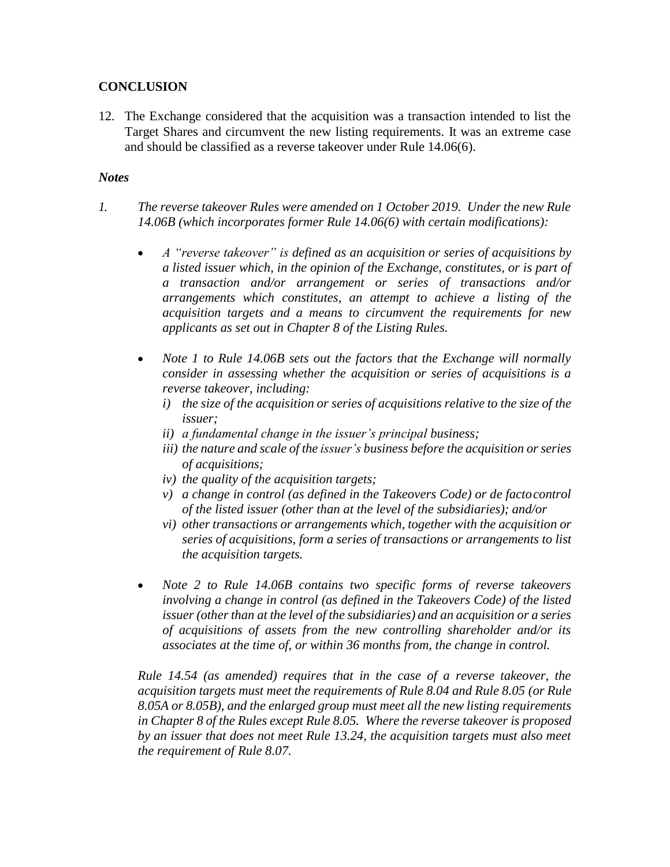## **CONCLUSION**

12. The Exchange considered that the acquisition was a transaction intended to list the Target Shares and circumvent the new listing requirements. It was an extreme case and should be classified as a reverse takeover under Rule 14.06(6).

### *Notes*

- *1. The reverse takeover Rules were amended on 1 October 2019. Under the new Rule 14.06B (which incorporates former Rule 14.06(6) with certain modifications):*
	- *A "reverse takeover" is defined as an acquisition or series of acquisitions by a listed issuer which, in the opinion of the Exchange, constitutes, or is part of a transaction and/or arrangement or series of transactions and/or arrangements which constitutes, an attempt to achieve a listing of the acquisition targets and a means to circumvent the requirements for new applicants as set out in Chapter 8 of the Listing Rules.*
	- *Note 1 to Rule 14.06B sets out the factors that the Exchange will normally consider in assessing whether the acquisition or series of acquisitions is a reverse takeover, including:*
		- *i) the size of the acquisition or series of acquisitions relative to the size of the issuer;*
		- *ii) a fundamental change in the issuer's principal business;*
		- *iii*) *the nature and scale of the issuer's business before the acquisition or series of acquisitions;*
		- *iv) the quality of the acquisition targets;*
		- *v*) *a change in control (as defined in the Takeovers Code) or de facto control of the listed issuer (other than at the level of the subsidiaries); and/or*
		- *vi) other transactions or arrangements which, together with the acquisition or series of acquisitions, form a series of transactions or arrangements to list the acquisition targets.*
	- *Note 2 to Rule 14.06B contains two specific forms of reverse takeovers involving a change in control (as defined in the Takeovers Code) of the listed issuer (otherthan at the level of the subsidiaries) and an acquisition or a series of acquisitions of assets from the new controlling shareholder and/or its associates at the time of, or within 36 months from, the change in control.*

*Rule 14.54 (as amended) requires that in the case of a reverse takeover, the acquisition targets must meet the requirements of Rule 8.04 and Rule 8.05 (or Rule 8.05A or 8.05B), and the enlarged group must meet all the new listing requirements in Chapter 8 of the Rules except Rule 8.05. Where the reverse takeover is proposed by an issuer that does not meet Rule 13.24, the acquisition targets must also meet the requirement of Rule 8.07.*